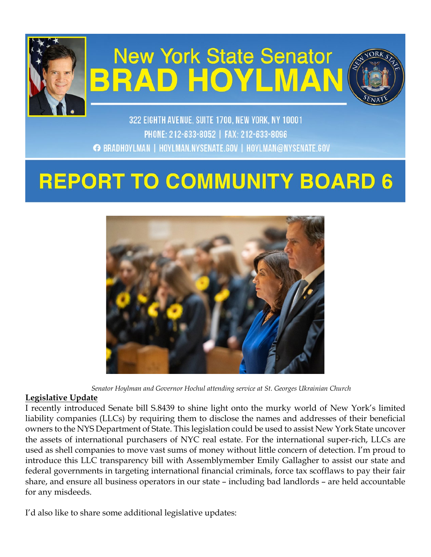

# **New York State Senator BRAD HOYLMAN**



322 EIGHTH AVENUE, SUITE 1700, NEW YORK, NY 10001 PHONE: 212-633-8052 | FAX: 212-633-8096 ← BRADHOYLMAN | HOYLMAN.NYSENATE.GOV | HOYLMAN@NYSENATE.GOV

# **REPORT TO COMMUNITY BOARD 6**



*Senator Hoylman and Governor Hochul attending service at St. Georges Ukrainian Church*

#### **Legislative Update**

I recently introduced Senate bill S.8439 to shine light onto the murky world of New York's limited liability companies (LLCs) by requiring them to disclose the names and addresses of their beneficial owners to the NYS Department of State. This legislation could be used to assist New York State uncover the assets of international purchasers of NYC real estate. For the international super-rich, LLCs are used as shell companies to move vast sums of money without little concern of detection. I'm proud to introduce this LLC transparency bill with Assemblymember Emily Gallagher to assist our state and federal governments in targeting international financial criminals, force tax scofflaws to pay their fair share, and ensure all business operators in our state – including bad landlords – are held accountable for any misdeeds.

I'd also like to share some additional legislative updates: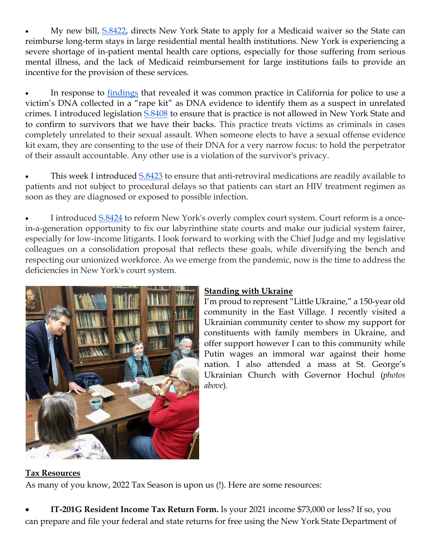My new bill, [S.8422,](https://www.nysenate.gov/legislation/bills/2021/s8422) directs New York State to apply for a Medicaid waiver so the State can reimburse long-term stays in large residential mental health institutions. New York is experiencing a severe shortage of in-patient mental health care options, especially for those suffering from serious mental illness, and the lack of Medicaid reimbursement for large institutions fails to provide an incentive for the provision of these services.

In response to [findings](https://www.nytimes.com/2022/02/15/us/san-francisco-police-rape-kit-dna.html) that revealed it was common practice in California for police to use a victim's DNA collected in a "rape kit" as DNA evidence to identify them as a suspect in unrelated crimes. I introduced legislation [S.8408](https://www.nysenate.gov/legislation/bills/2021/S8408) to ensure that is practice is not allowed in New York State and to confirm to survivors that we have their backs. This practice treats victims as criminals in cases completely unrelated to their sexual assault. When someone elects to have a sexual offense evidence kit exam, they are consenting to the use of their DNA for a very narrow focus: to hold the perpetrator of their assault accountable. Any other use is a violation of the survivor's privacy.

• This week I introduced [S.8423](https://www.nysenate.gov/legislation/bills/2021/s8423) to ensure that anti-retroviral medications are readily available to patients and not subject to procedural delays so that patients can start an HIV treatment regimen as soon as they are diagnosed or exposed to possible infection.

I introduced  $S.8424$  to reform New York's overly complex court system. Court reform is a oncein-a-generation opportunity to fix our labyrinthine state courts and make our judicial system fairer, especially for low-income litigants. I look forward to working with the Chief Judge and my legislative colleagues on a consolidation proposal that reflects these goals, while diversifying the bench and respecting our unionized workforce. As we emerge from the pandemic, now is the time to address the deficiencies in New York's court system.



# **Standing with Ukraine**

I'm proud to represent "Little Ukraine," a 150-year old community in the East Village. I recently visited a Ukrainian community center to show my support for constituents with family members in Ukraine, and offer support however I can to this community while Putin wages an immoral war against their home nation. I also attended a mass at St. George's Ukrainian Church with Governor Hochul (*photos above*).

#### **Tax Resources**

As many of you know, 2022 Tax Season is upon us (!). Here are some resources:

• **IT-201G Resident Income Tax Return Form.** Is your 2021 income \$73,000 or less? If so, you can prepare and file your federal and state returns for free using the New York State Department of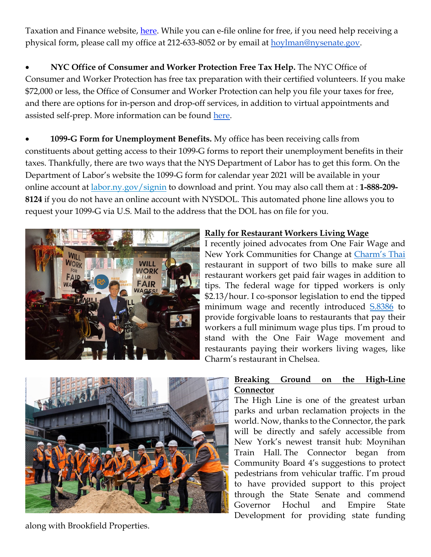Taxation and Finance website, [here.](https://www.tax.ny.gov/pit/ads/efile_addit201.htm) While you can e-file online for free, if you need help receiving a physical form, please call my office at 212-633-8052 or by email at [hoylman@nysenate.gov.](mailto:hoylman@nysenate.gov)

• **NYC Office of Consumer and Worker Protection Free Tax Help.** The NYC Office of Consumer and Worker Protection has free tax preparation with their certified volunteers. If you make \$72,000 or less, the Office of Consumer and Worker Protection can help you file your taxes for free, and there are options for in-person and drop-off services, in addition to virtual appointments and assisted self-prep. More information can be found [here.](https://www1.nyc.gov/site/dca/consumers/file-your-taxes.page)

• **1099-G Form for Unemployment Benefits.** My office has been receiving calls from constituents about getting access to their 1099-G forms to report their unemployment benefits in their taxes. Thankfully, there are two ways that the NYS Department of Labor has to get this form. On the Department of Labor's website the 1099-G form for calendar year 2021 will be available in your online account at [labor.ny.gov/signin](https://applications.labor.ny.gov/IndividualReg/) to download and print. You may also call them at : **1-888-209- 8124** if you do not have an online account with NYSDOL. This automated phone line allows you to request your 1099-G via U.S. Mail to the address that the DOL has on file for you.



#### **Rally for Restaurant Workers Living Wage**

I recently joined advocates from One Fair Wage and New York Communities for Change at [Charm's Thai](https://www.charmsnyc.com/) restaurant in support of two bills to make sure all restaurant workers get paid fair wages in addition to tips. The federal wage for tipped workers is only \$2.13/hour. I co-sponsor legislation to end the tipped minimum wage and recently introduced [S.8386](https://www.nysenate.gov/legislation/bills/2021/s8386) to provide forgivable loans to restaurants that pay their workers a full minimum wage plus tips. I'm proud to stand with the One Fair Wage movement and restaurants paying their workers living wages, like Charm's restaurant in Chelsea.



along with Brookfield Properties.

#### **Breaking Ground on the High-Line Connector**

The High Line is one of the greatest urban parks and urban reclamation projects in the world. Now, thanks to the Connector, the park will be directly and safely accessible from New York's newest transit hub: Moynihan Train Hall. The Connector began from Community Board 4's suggestions to protect pedestrians from vehicular traffic. I'm proud to have provided support to this project through the State Senate and commend Governor Hochul and Empire State Development for providing state funding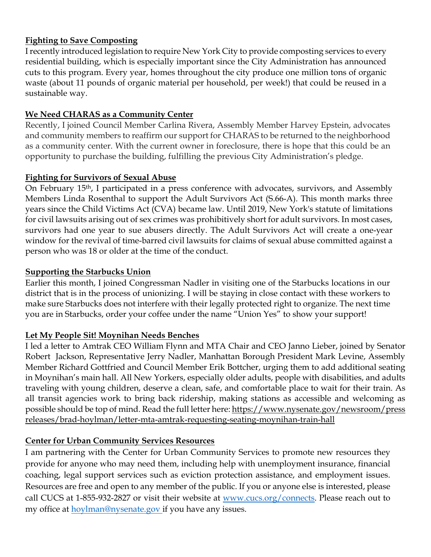#### **Fighting to Save Composting**

I recently introduced legislation to require New York City to provide composting services to every residential building, which is especially important since the City Administration has announced cuts to this program. Every year, homes throughout the city produce one million tons of organic waste (about 11 pounds of organic material per household, per week!) that could be reused in a sustainable way.

#### **We Need CHARAS as a Community Center**

Recently, I joined Council Member Carlina Rivera, Assembly Member Harvey Epstein, advocates and community members to reaffirm our support for CHARAS to be returned to the neighborhood as a community center. With the current owner in foreclosure, there is hope that this could be an opportunity to purchase the building, fulfilling the previous City Administration's pledge.

#### **Fighting for Survivors of Sexual Abuse**

On February 15th, I participated in a press conference with advocates, survivors, and Assembly Members Linda Rosenthal to support the Adult Survivors Act (S.66-A). This month marks three years since the Child Victims Act (CVA) became law. Until 2019, New York's statute of limitations for civil lawsuits arising out of sex crimes was prohibitively short for adult survivors. In most cases, survivors had one year to sue abusers directly. The Adult Survivors Act will create a one-year window for the revival of time-barred civil lawsuits for claims of sexual abuse committed against a person who was 18 or older at the time of the conduct.

#### **Supporting the Starbucks Union**

Earlier this month, I joined Congressman Nadler in visiting one of the Starbucks locations in our district that is in the process of unionizing. I will be staying in close contact with these workers to make sure Starbucks does not interfere with their legally protected right to organize. The next time you are in Starbucks, order your coffee under the name "Union Yes" to show your support!

# **Let My People Sit! Moynihan Needs Benches**

I led a letter to Amtrak CEO William Flynn and MTA Chair and CEO Janno Lieber, joined by Senator Robert Jackson, Representative Jerry Nadler, Manhattan Borough President Mark Levine, Assembly Member Richard Gottfried and Council Member Erik Bottcher, urging them to add additional seating in Moynihan's main hall. All New Yorkers, especially older adults, people with disabilities, and adults traveling with young children, deserve a clean, safe, and comfortable place to wait for their train. As all transit agencies work to bring back ridership, making stations as accessible and welcoming as possible should be top of mind. Read the full letter here: https://www.nysenate.gov/newsroom/press releases/brad-hoylman/letter-mta-amtrak-requesting-seating-moynihan-train-hall

# **Center for Urban Community Services Resources**

I am partnering with the Center for Urban Community Services to promote new resources they provide for anyone who may need them, including help with unemployment insurance, financial coaching, legal support services such as eviction protection assistance, and employment issues. Resources are free and open to any member of the public. If you or anyone else is interested, please call CUCS at 1-855-932-2827 or visit their website at www.cucs.org/connects. Please reach out to my office at **hoylman@nysenate.gov** if you have any issues.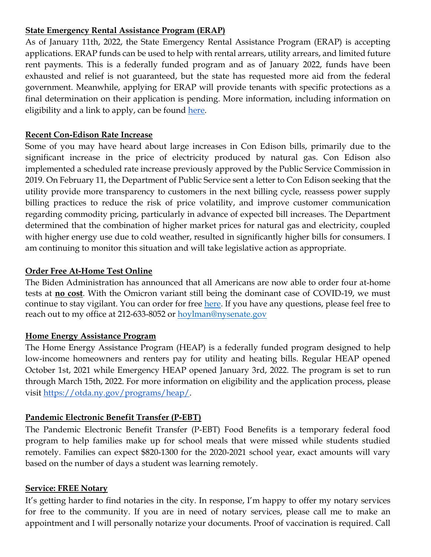#### **State Emergency Rental Assistance Program (ERAP)**

As of January 11th, 2022, the State Emergency Rental Assistance Program (ERAP) is accepting applications. ERAP funds can be used to help with rental arrears, utility arrears, and limited future rent payments. This is a federally funded program and as of January 2022, funds have been exhausted and relief is not guaranteed, but the state has requested more aid from the federal government. Meanwhile, applying for ERAP will provide tenants with specific protections as a final determination on their application is pending. More information, including information on eligibility and a link to apply, can be found here.

#### **Recent Con-Edison Rate Increase**

Some of you may have heard about large increases in Con Edison bills, primarily due to the significant increase in the price of electricity produced by natural gas. Con Edison also implemented a scheduled rate increase previously approved by the Public Service Commission in 2019. On February 11, the Department of Public Service sent a letter to Con Edison seeking that the utility provide more transparency to customers in the next billing cycle, reassess power supply billing practices to reduce the risk of price volatility, and improve customer communication regarding commodity pricing, particularly in advance of expected bill increases. The Department determined that the combination of higher market prices for natural gas and electricity, coupled with higher energy use due to cold weather, resulted in significantly higher bills for consumers. I am continuing to monitor this situation and will take legislative action as appropriate.

#### **Order Free At-Home Test Online**

The Biden Administration has announced that all Americans are now able to order four at-home tests at **no cost**. With the Omicron variant still being the dominant case of COVID-19, we must continue to stay vigilant. You can order for free here. If you have any questions, please feel free to reach out to my office at 212-633-8052 or hoylman@nysenate.gov

#### **Home Energy Assistance Program**

The Home Energy Assistance Program (HEAP) is a federally funded program designed to help low-income homeowners and renters pay for utility and heating bills. Regular HEAP opened October 1st, 2021 while Emergency HEAP opened January 3rd, 2022. The program is set to run through March 15th, 2022. For more information on eligibility and the application process, please visit https://otda.ny.gov/programs/heap/.

# **Pandemic Electronic Benefit Transfer (P-EBT)**

The Pandemic Electronic Benefit Transfer (P-EBT) Food Benefits is a temporary federal food program to help families make up for school meals that were missed while students studied remotely. Families can expect \$820-1300 for the 2020-2021 school year, exact amounts will vary based on the number of days a student was learning remotely.

#### **Service: FREE Notary**

It's getting harder to find notaries in the city. In response, I'm happy to offer my notary services for free to the community. If you are in need of notary services, please call me to make an appointment and I will personally notarize your documents. Proof of vaccination is required. Call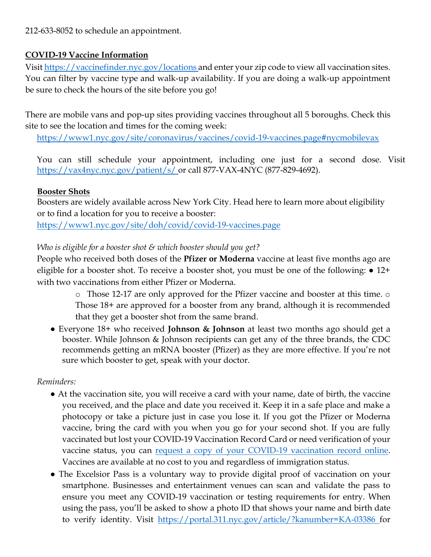212-633-8052 to schedule an appointment.

#### **COVID-19 Vaccine Information**

Visit https://vaccinefinder.nyc.gov/locations and enter your zip code to view all vaccination sites. You can filter by vaccine type and walk-up availability. If you are doing a walk-up appointment be sure to check the hours of the site before you go!

There are mobile vans and pop-up sites providing vaccines throughout all 5 boroughs. Check this site to see the location and times for the coming week:

https://www1.nyc.gov/site/coronavirus/vaccines/covid-19-vaccines.page#nycmobilevax

You can still schedule your appointment, including one just for a second dose. Visit https://vax4nyc.nyc.gov/patient/s/ or call 877-VAX-4NYC (877-829-4692).

#### **Booster Shots**

Boosters are widely available across New York City. Head here to learn more about eligibility or to find a location for you to receive a booster:

https://www1.nyc.gov/site/doh/covid/covid-19-vaccines.page

#### *Who is eligible for a booster shot & which booster should you get?*

People who received both doses of the **Pfizer or Moderna** vaccine at least five months ago are eligible for a booster shot. To receive a booster shot, you must be one of the following: ● 12+ with two vaccinations from either Pfizer or Moderna.

- o Those 12-17 are only approved for the Pfizer vaccine and booster at this time. o Those 18+ are approved for a booster from any brand, although it is recommended that they get a booster shot from the same brand.
- Everyone 18+ who received **Johnson & Johnson** at least two months ago should get a booster. While Johnson & Johnson recipients can get any of the three brands, the CDC recommends getting an mRNA booster (Pfizer) as they are more effective. If you're not sure which booster to get, speak with your doctor.

#### *Reminders:*

- At the vaccination site, you will receive a card with your name, date of birth, the vaccine you received, and the place and date you received it. Keep it in a safe place and make a photocopy or take a picture just in case you lose it. If you got the Pfizer or Moderna vaccine, bring the card with you when you go for your second shot. If you are fully vaccinated but lost your COVID-19 Vaccination Record Card or need verification of your vaccine status, you can request a copy of your COVID-19 vaccination record online. Vaccines are available at no cost to you and regardless of immigration status.
- The Excelsior Pass is a voluntary way to provide digital proof of vaccination on your smartphone. Businesses and entertainment venues can scan and validate the pass to ensure you meet any COVID-19 vaccination or testing requirements for entry. When using the pass, you'll be asked to show a photo ID that shows your name and birth date to verify identity. Visit https://portal.311.nyc.gov/article/?kanumber=KA-03386 for